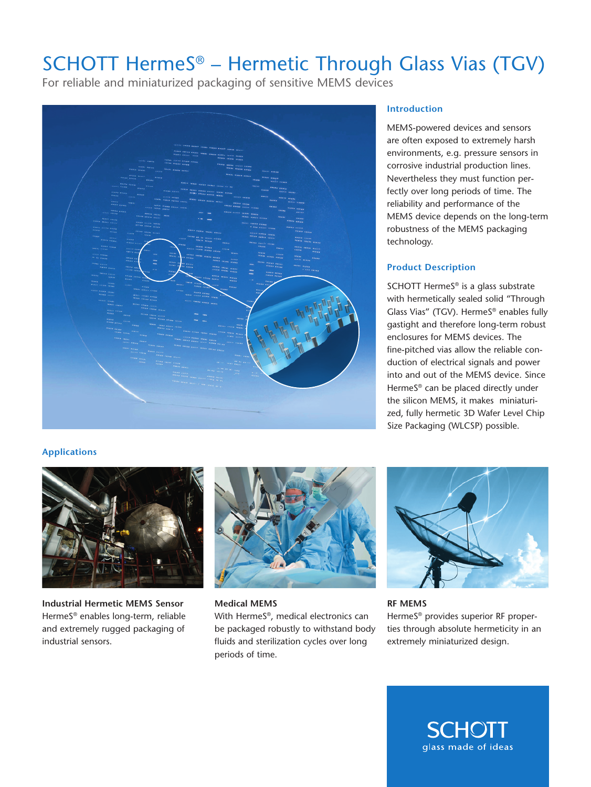## SCHOTT HermeS® – Hermetic Through Glass Vias (TGV)

For reliable and miniaturized packaging of sensitive MEMS devices



#### **Introduction**

MEMS-powered devices and sensors are often exposed to extremely harsh environments, e.g. pressure sensors in corrosive industrial production lines. Nevertheless they must function perfectly over long periods of time. The reliability and performance of the MEMS device depends on the long-term robustness of the MEMS packaging technology.

### **Product Description**

SCHOTT HermeS® is a glass substrate with hermetically sealed solid "Through Glass Vias" (TGV). HermeS® enables fully gastight and therefore long-term robust enclosures for MEMS devices. The fine-pitched vias allow the reliable conduction of electrical signals and power into and out of the MEMS device. Since HermeS® can be placed directly under the silicon MEMS, it makes miniaturized, fully hermetic 3D Wafer Level Chip Size Packaging (WLCSP) possible.

### **Applications**



**Industrial Hermetic MEMS Sensor**  HermeS® enables long-term, reliable and extremely rugged packaging of industrial sensors.



**Medical MEMS** 

With HermeS®, medical electronics can be packaged robustly to withstand body fluids and sterilization cycles over long periods of time.



**RF MEMS**  HermeS® provides superior RF properties through absolute hermeticity in an extremely miniaturized design.